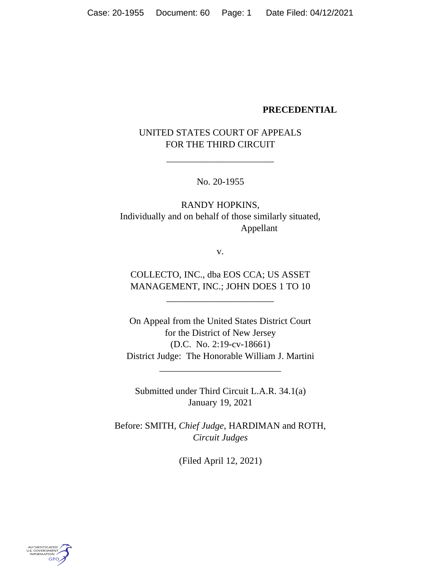### **PRECEDENTIAL**

# UNITED STATES COURT OF APPEALS FOR THE THIRD CIRCUIT

\_\_\_\_\_\_\_\_\_\_\_\_\_\_\_\_\_\_\_\_\_\_\_

No. 20-1955

RANDY HOPKINS, Individually and on behalf of those similarly situated, Appellant

v.

COLLECTO, INC., dba EOS CCA; US ASSET MANAGEMENT, INC.; JOHN DOES 1 TO 10

\_\_\_\_\_\_\_\_\_\_\_\_\_\_\_\_\_\_\_\_\_\_\_

On Appeal from the United States District Court for the District of New Jersey (D.C. No. 2:19-cv-18661) District Judge: The Honorable William J. Martini

\_\_\_\_\_\_\_\_\_\_\_\_\_\_\_\_\_\_\_\_\_\_\_\_\_\_

Submitted under Third Circuit L.A.R. 34.1(a) January 19, 2021

Before: SMITH, *Chief Judge*, HARDIMAN and ROTH, *Circuit Judges*

(Filed April 12, 2021)

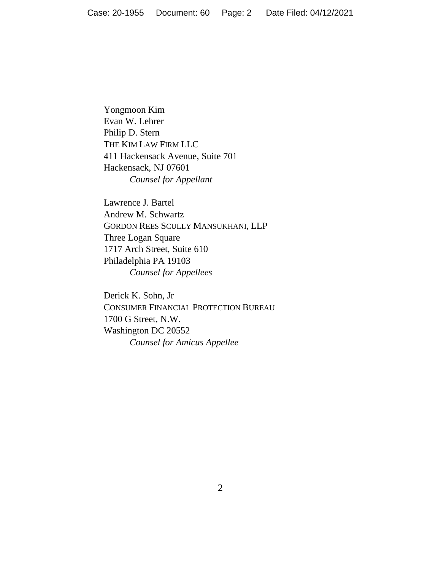Yongmoon Kim Evan W. Lehrer Philip D. Stern THE KIM LAW FIRM LLC 411 Hackensack Avenue, Suite 701 Hackensack, NJ 07601 *Counsel for Appellant*

Lawrence J. Bartel Andrew M. Schwartz GORDON REES SCULLY MANSUKHANI, LLP Three Logan Square 1717 Arch Street, Suite 610 Philadelphia PA 19103 *Counsel for Appellees*

Derick K. Sohn, Jr CONSUMER FINANCIAL PROTECTION BUREAU 1700 G Street, N.W. Washington DC 20552 *Counsel for Amicus Appellee*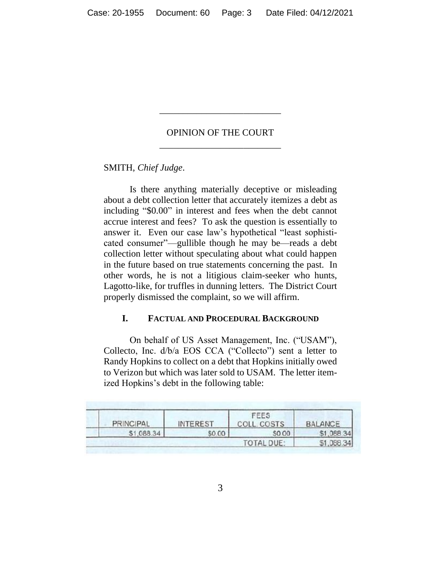# OPINION OF THE COURT \_\_\_\_\_\_\_\_\_\_\_\_\_\_\_\_\_\_\_\_\_\_\_\_\_\_

\_\_\_\_\_\_\_\_\_\_\_\_\_\_\_\_\_\_\_\_\_\_\_\_\_\_

SMITH, *Chief Judge*.

Is there anything materially deceptive or misleading about a debt collection letter that accurately itemizes a debt as including "\$0.00" in interest and fees when the debt cannot accrue interest and fees? To ask the question is essentially to answer it. Even our case law's hypothetical "least sophisticated consumer"—gullible though he may be—reads a debt collection letter without speculating about what could happen in the future based on true statements concerning the past. In other words, he is not a litigious claim-seeker who hunts, Lagotto-like, for truffles in dunning letters. The District Court properly dismissed the complaint, so we will affirm.

## **I. FACTUAL AND PROCEDURAL BACKGROUND**

On behalf of US Asset Management, Inc. ("USAM"), Collecto, Inc. d/b/a EOS CCA ("Collecto") sent a letter to Randy Hopkins to collect on a debt that Hopkins initially owed to Verizon but which was later sold to USAM. The letter itemized Hopkins's debt in the following table:

| <b>PRINCIPAL</b>  | <b>INTEREST</b> | FEES<br>COSTS | <b>BALANCE</b> |
|-------------------|-----------------|---------------|----------------|
| \$1.088.34        | \$0.00          | \$0.00        | \$1,088.34     |
| <b>TOTAL DUF-</b> |                 |               | \$1,088.34     |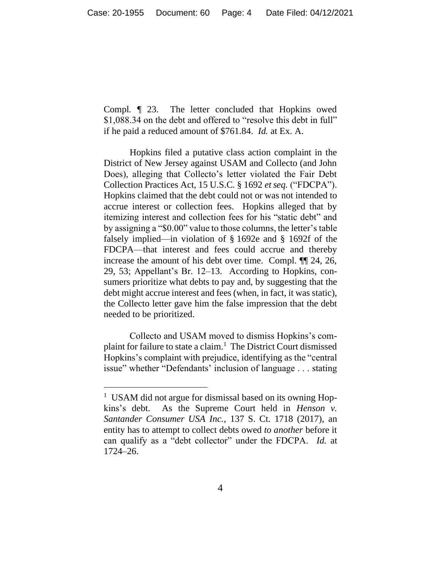Compl*.* ¶ 23. The letter concluded that Hopkins owed \$1,088.34 on the debt and offered to "resolve this debt in full" if he paid a reduced amount of \$761.84. *Id.* at Ex. A.

Hopkins filed a putative class action complaint in the District of New Jersey against USAM and Collecto (and John Does), alleging that Collecto's letter violated the Fair Debt Collection Practices Act, 15 U.S.C. § 1692 *et seq.* ("FDCPA"). Hopkins claimed that the debt could not or was not intended to accrue interest or collection fees. Hopkins alleged that by itemizing interest and collection fees for his "static debt" and by assigning a "\$0.00" value to those columns, the letter's table falsely implied—in violation of § 1692e and § 1692f of the FDCPA—that interest and fees could accrue and thereby increase the amount of his debt over time. Compl. ¶¶ 24, 26, 29, 53; Appellant's Br. 12–13. According to Hopkins, consumers prioritize what debts to pay and, by suggesting that the debt might accrue interest and fees (when, in fact, it was static), the Collecto letter gave him the false impression that the debt needed to be prioritized.

Collecto and USAM moved to dismiss Hopkins's complaint for failure to state a claim. 1 The District Court dismissed Hopkins's complaint with prejudice, identifying as the "central issue" whether "Defendants' inclusion of language . . . stating

<sup>&</sup>lt;sup>1</sup> USAM did not argue for dismissal based on its owning Hopkins's debt. As the Supreme Court held in *Henson v. Santander Consumer USA Inc.*, 137 S. Ct. 1718 (2017), an entity has to attempt to collect debts owed *to another* before it can qualify as a "debt collector" under the FDCPA. *Id.* at 1724–26.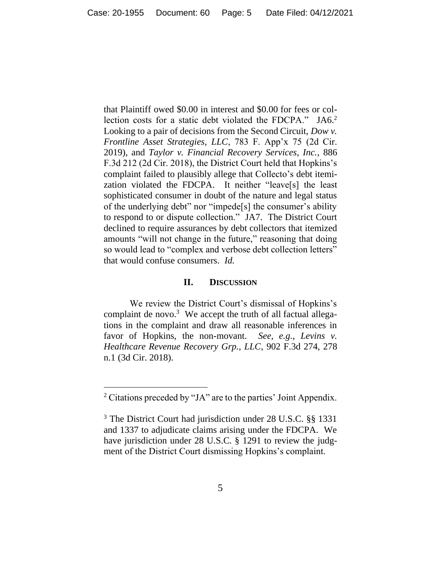that Plaintiff owed \$0.00 in interest and \$0.00 for fees or collection costs for a static debt violated the FDCPA." JA6. 2 Looking to a pair of decisions from the Second Circuit, *Dow v. Frontline Asset Strategies, LLC*, 783 F. App'x 75 (2d Cir. 2019), and *Taylor v. Financial Recovery Services, Inc.*, 886 F.3d 212 (2d Cir. 2018), the District Court held that Hopkins's complaint failed to plausibly allege that Collecto's debt itemization violated the FDCPA. It neither "leave[s] the least sophisticated consumer in doubt of the nature and legal status of the underlying debt" nor "impede[s] the consumer's ability to respond to or dispute collection." JA7. The District Court declined to require assurances by debt collectors that itemized amounts "will not change in the future," reasoning that doing so would lead to "complex and verbose debt collection letters" that would confuse consumers. *Id.* 

### **II. DISCUSSION**

We review the District Court's dismissal of Hopkins's complaint de novo.<sup>3</sup> We accept the truth of all factual allegations in the complaint and draw all reasonable inferences in favor of Hopkins, the non-movant. *See, e.g.*, *Levins v. Healthcare Revenue Recovery Grp., LLC*, 902 F.3d 274, 278 n.1 (3d Cir. 2018).

<sup>2</sup> Citations preceded by "JA" are to the parties' Joint Appendix.

<sup>&</sup>lt;sup>3</sup> The District Court had jurisdiction under 28 U.S.C. §§ 1331 and 1337 to adjudicate claims arising under the FDCPA. We have jurisdiction under 28 U.S.C. § 1291 to review the judgment of the District Court dismissing Hopkins's complaint.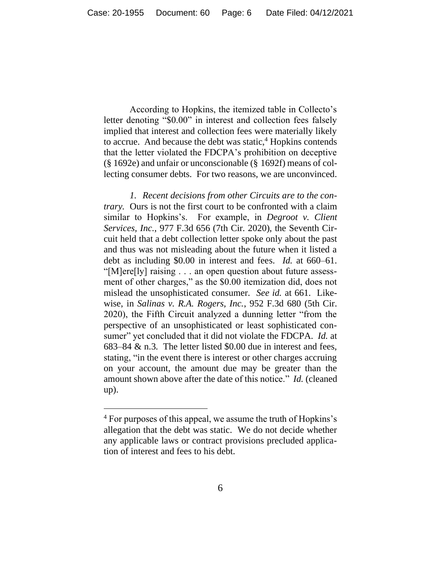According to Hopkins, the itemized table in Collecto's letter denoting "\$0.00" in interest and collection fees falsely implied that interest and collection fees were materially likely to accrue. And because the debt was static,<sup>4</sup> Hopkins contends that the letter violated the FDCPA's prohibition on deceptive (§ 1692e) and unfair or unconscionable (§ 1692f) means of collecting consumer debts. For two reasons, we are unconvinced.

*1. Recent decisions from other Circuits are to the contrary.* Ours is not the first court to be confronted with a claim similar to Hopkins's. For example, in *Degroot v. Client Services, Inc.*, 977 F.3d 656 (7th Cir. 2020), the Seventh Circuit held that a debt collection letter spoke only about the past and thus was not misleading about the future when it listed a debt as including \$0.00 in interest and fees. *Id.* at 660–61. "[M]ere[ly] raising . . . an open question about future assessment of other charges," as the \$0.00 itemization did, does not mislead the unsophisticated consumer. *See id.* at 661.Likewise, in *Salinas v. R.A. Rogers, Inc.*, 952 F.3d 680 (5th Cir. 2020), the Fifth Circuit analyzed a dunning letter "from the perspective of an unsophisticated or least sophisticated consumer" yet concluded that it did not violate the FDCPA. *Id.* at 683–84 & n.3. The letter listed \$0.00 due in interest and fees, stating, "in the event there is interest or other charges accruing on your account, the amount due may be greater than the amount shown above after the date of this notice." *Id.* (cleaned up).

<sup>&</sup>lt;sup>4</sup> For purposes of this appeal, we assume the truth of Hopkins's allegation that the debt was static. We do not decide whether any applicable laws or contract provisions precluded application of interest and fees to his debt.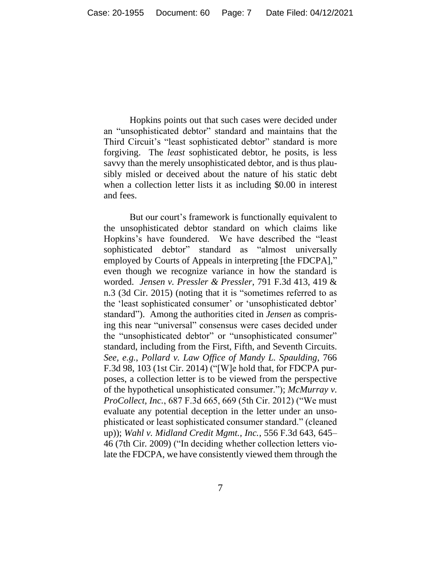Hopkins points out that such cases were decided under an "unsophisticated debtor" standard and maintains that the Third Circuit's "least sophisticated debtor" standard is more forgiving. The *least* sophisticated debtor, he posits, is less savvy than the merely unsophisticated debtor, and is thus plausibly misled or deceived about the nature of his static debt when a collection letter lists it as including \$0.00 in interest and fees.

But our court's framework is functionally equivalent to the unsophisticated debtor standard on which claims like Hopkins's have foundered. We have described the "least sophisticated debtor" standard as "almost universally employed by Courts of Appeals in interpreting [the FDCPA]," even though we recognize variance in how the standard is worded. *Jensen v. Pressler & Pressler*, 791 F.3d 413, 419 & n.3 (3d Cir. 2015) (noting that it is "sometimes referred to as the 'least sophisticated consumer' or 'unsophisticated debtor' standard"). Among the authorities cited in *Jensen* as comprising this near "universal" consensus were cases decided under the "unsophisticated debtor" or "unsophisticated consumer" standard, including from the First, Fifth, and Seventh Circuits. *See, e.g.*, *Pollard v. Law Office of Mandy L. Spaulding*, 766 F.3d 98, 103 (1st Cir. 2014) ("[W]e hold that, for FDCPA purposes, a collection letter is to be viewed from the perspective of the hypothetical unsophisticated consumer."); *McMurray v. ProCollect, Inc.*, 687 F.3d 665, 669 (5th Cir. 2012) ("We must evaluate any potential deception in the letter under an unsophisticated or least sophisticated consumer standard." (cleaned up)); *Wahl v. Midland Credit Mgmt., Inc.*, 556 F.3d 643, 645– 46 (7th Cir. 2009) ("In deciding whether collection letters violate the FDCPA, we have consistently viewed them through the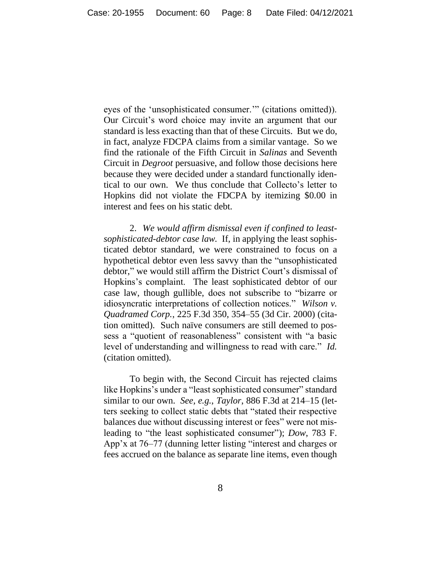eyes of the 'unsophisticated consumer.'" (citations omitted)). Our Circuit's word choice may invite an argument that our standard is less exacting than that of these Circuits. But we do, in fact, analyze FDCPA claims from a similar vantage. So we find the rationale of the Fifth Circuit in *Salinas* and Seventh Circuit in *Degroot* persuasive, and follow those decisions here because they were decided under a standard functionally identical to our own. We thus conclude that Collecto's letter to Hopkins did not violate the FDCPA by itemizing \$0.00 in interest and fees on his static debt.

2. *We would affirm dismissal even if confined to leastsophisticated-debtor case law.* If, in applying the least sophisticated debtor standard, we were constrained to focus on a hypothetical debtor even less savvy than the "unsophisticated debtor," we would still affirm the District Court's dismissal of Hopkins's complaint. The least sophisticated debtor of our case law, though gullible, does not subscribe to "bizarre or idiosyncratic interpretations of collection notices." *Wilson v. Quadramed Corp.*, 225 F.3d 350, 354–55 (3d Cir. 2000) (citation omitted). Such naïve consumers are still deemed to possess a "quotient of reasonableness" consistent with "a basic level of understanding and willingness to read with care." *Id.*  (citation omitted).

To begin with, the Second Circuit has rejected claims like Hopkins's under a "least sophisticated consumer" standard similar to our own. *See, e.g.*, *Taylor*, 886 F.3d at 214–15 (letters seeking to collect static debts that "stated their respective balances due without discussing interest or fees" were not misleading to "the least sophisticated consumer"); *Dow*, 783 F. App'x at 76–77 (dunning letter listing "interest and charges or fees accrued on the balance as separate line items, even though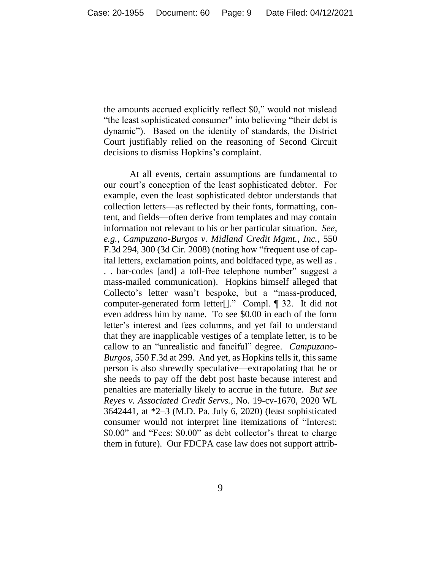the amounts accrued explicitly reflect \$0," would not mislead "the least sophisticated consumer" into believing "their debt is dynamic"). Based on the identity of standards, the District Court justifiably relied on the reasoning of Second Circuit decisions to dismiss Hopkins's complaint.

At all events, certain assumptions are fundamental to our court's conception of the least sophisticated debtor. For example, even the least sophisticated debtor understands that collection letters—as reflected by their fonts, formatting, content, and fields—often derive from templates and may contain information not relevant to his or her particular situation. *See, e.g.*, *Campuzano-Burgos v. Midland Credit Mgmt., Inc.*, 550 F.3d 294, 300 (3d Cir. 2008) (noting how "frequent use of capital letters, exclamation points, and boldfaced type, as well as . . . bar-codes [and] a toll-free telephone number" suggest a mass-mailed communication). Hopkins himself alleged that Collecto's letter wasn't bespoke, but a "mass-produced, computer-generated form letter[]." Compl. ¶ 32. It did not even address him by name. To see \$0.00 in each of the form letter's interest and fees columns, and yet fail to understand that they are inapplicable vestiges of a template letter, is to be callow to an "unrealistic and fanciful" degree. *Campuzano-Burgos*, 550 F.3d at 299. And yet, as Hopkins tells it, this same person is also shrewdly speculative—extrapolating that he or she needs to pay off the debt post haste because interest and penalties are materially likely to accrue in the future. *But see Reyes v. Associated Credit Servs.*, No. 19-cv-1670, 2020 WL 3642441, at \*2–3 (M.D. Pa. July 6, 2020) (least sophisticated consumer would not interpret line itemizations of "Interest: \$0.00" and "Fees: \$0.00" as debt collector's threat to charge them in future). Our FDCPA case law does not support attrib